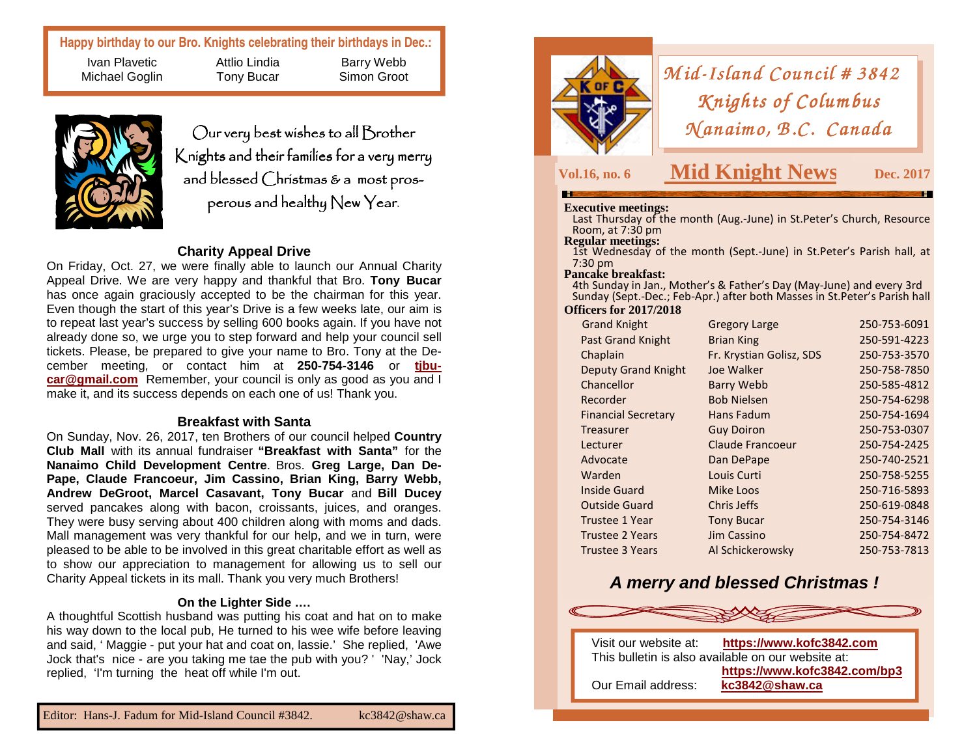# **Happy birthday to our Bro. Knights celebrating their birthdays in Dec.:**

Ivan Plavetic Michael Goglin Attlio Lindia Tony Bucar



Our very best wishes to all Brother Knights and their families for a very merry and blessed Christmas & a most pros**perous and healthy New Year. News Property Vol.16, no. 6 Mid Knight News Dec. 2017**<br> **Dec.** 2017

Barry Webb Simon Groot

# **Charity Appeal Drive**

 On Friday, Oct. 27, we were finally able to launch our Annual Charity Appeal Drive. We are very happy and thankful that Bro. **Tony Bucar**  has once again graciously accepted to be the chairman for this year. Even though the start of this year's Drive is a few weeks late, our aim is to repeat last year's success by selling 600 books again. If you have not already done so, we urge you to step forward and help your council sell tickets. Please, be prepared to give your name to Bro. Tony at the December meeting, or contact him at **250-754-3146** or **tjbucar@gmail.com** Remember, your council is only as good as you and I make it, and its success depends on each one of us! Thank you.

### **Breakfast with Santa**

 On Sunday, Nov. 26, 2017, ten Brothers of our council helped **Country Club Mall** with its annual fundraiser **"Breakfast with Santa"** for the **Nanaimo Child Development Centre**. Bros. **Greg Large, Dan De-Pape, Claude Francoeur, Jim Cassino, Brian King, Barry Webb, Andrew DeGroot, Marcel Casavant, Tony Bucar** and **Bill Ducey**  served pancakes along with bacon, croissants, juices, and oranges. They were busy serving about 400 children along with moms and dads. Mall management was very thankful for our help, and we in turn, were pleased to be able to be involved in this great charitable effort as well as to show our appreciation to management for allowing us to sell our Charity Appeal tickets in its mall. Thank you very much Brothers!

#### **On the Lighter Side ….**

 A thoughtful Scottish husband was putting his coat and hat on to make his way down to the local pub, He turned to his wee wife before leaving and said, ' Maggie - put your hat and coat on, lassie.' She replied, 'Awe Jock that's nice - are you taking me tae the pub with you? ' 'Nay,' Jock replied, 'I'm turning the heat off while I'm out.



*Mid-Island Council # 3842*<br>*Knights of Columbus Knights of Columbus<br>(anaimo, B.C. Canadı Manaimo, B.C. Canada*<br>Mid Knight News Dec

**Dec. 2017** 

**Executive meetings:** Last Thursday of the month (Aug.-June) in St.Peter's Church, Resource Room, at 7:30 pm<br>**Regular meetings:** 

1st Wednesday of the month (Sept.-June) in St.Peter's Parish hall, at 7:30 pm

#### **Pancake breakfast:**

 4th Sunday in Jan., Mother's & Father's Day (May-June) and every 3rd Sunday (Sept.-Dec.; Feb-Apr.) after both Masses in St.Peter's Parish hall

### **Officers for 2017/2018**

| <b>Grand Knight</b>        | <b>Gregory Large</b>     | 250-753-6091 |
|----------------------------|--------------------------|--------------|
| <b>Past Grand Knight</b>   | <b>Brian King</b>        | 250-591-4223 |
| Chaplain                   | Fr. Krystian Golisz, SDS | 250-753-3570 |
| <b>Deputy Grand Knight</b> | Joe Walker               | 250-758-7850 |
| Chancellor                 | <b>Barry Webb</b>        | 250-585-4812 |
| Recorder                   | <b>Bob Nielsen</b>       | 250-754-6298 |
| <b>Financial Secretary</b> | Hans Fadum               | 250-754-1694 |
| Treasurer                  | <b>Guy Doiron</b>        | 250-753-0307 |
| Lecturer                   | Claude Francoeur         | 250-754-2425 |
| Advocate                   | Dan DePape               | 250-740-2521 |
| Warden                     | Louis Curti              | 250-758-5255 |
| Inside Guard               | Mike Loos                | 250-716-5893 |
| <b>Outside Guard</b>       | Chris Jeffs              | 250-619-0848 |
| <b>Trustee 1 Year</b>      | <b>Tony Bucar</b>        | 250-754-3146 |
| <b>Trustee 2 Years</b>     | Jim Cassino              | 250-754-8472 |
| <b>Trustee 3 Years</b>     | Al Schickerowsky         | 250-753-7813 |
|                            |                          |              |

# **A merry and blessed Christmas !**